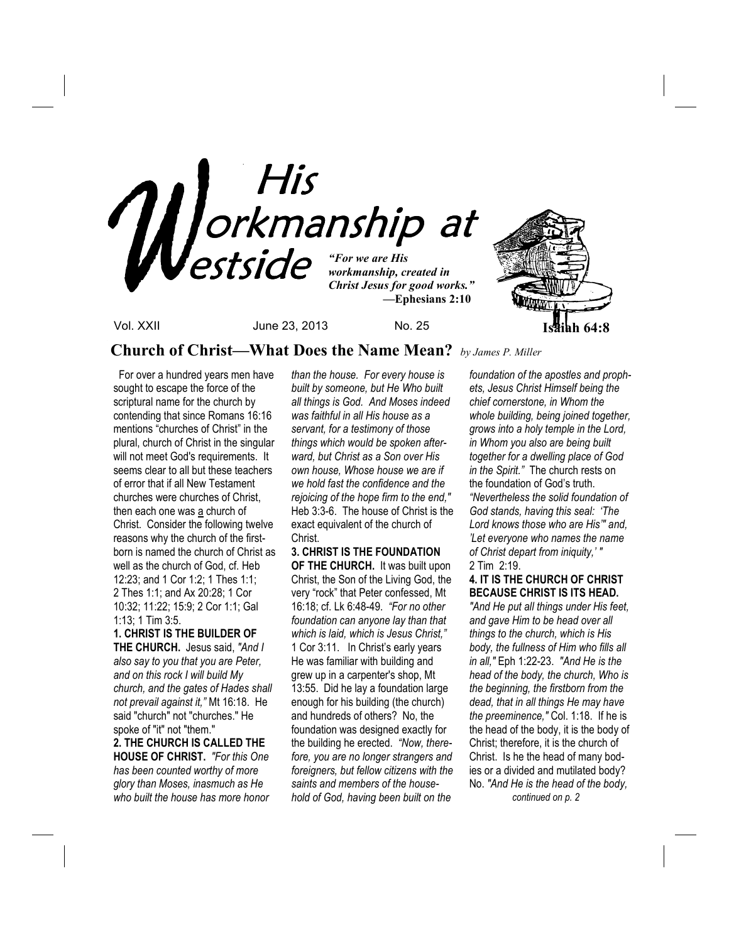

**Church of Christ—What Does the Name Mean?** *by James P. Miller*

For over a hundred years men have sought to escape the force of the scriptural name for the church by contending that since Romans 16:16 mentions "churches of Christ" in the plural, church of Christ in the singular will not meet God's requirements. It seems clear to all but these teachers of error that if all New Testament churches were churches of Christ, then each one was a church of Christ. Consider the following twelve reasons why the church of the firstborn is named the church of Christ as well as the church of God, cf. Heb 12:23; and 1 Cor 1:2; 1 Thes 1:1; 2 Thes 1:1; and Ax 20:28; 1 Cor 10:32; 11:22; 15:9; 2 Cor 1:1; Gal 1:13; 1 Tim 3:5.

### **1. CHRIST IS THE BUILDER OF**

**THE CHURCH.** Jesus said, *"And I also say to you that you are Peter, and on this rock I will build My church, and the gates of Hades shall not prevail against it,"* Mt 16:18. He said "church" not "churches." He spoke of "it" not "them." **2. THE CHURCH IS CALLED THE** 

**HOUSE OF CHRIST.** *"For this One has been counted worthy of more glory than Moses, inasmuch as He who built the house has more honor*  *than the house. For every house is built by someone, but He Who built all things is God. And Moses indeed was faithful in all His house as a servant, for a testimony of those things which would be spoken afterward, but Christ as a Son over His own house, Whose house we are if we hold fast the confidence and the rejoicing of the hope firm to the end,"* Heb 3:3-6. The house of Christ is the exact equivalent of the church of Christ.

## **3. CHRIST IS THE FOUNDATION**

**OF THE CHURCH.** It was built upon Christ, the Son of the Living God, the very "rock" that Peter confessed, Mt 16:18; cf. Lk 6:48-49. *"For no other foundation can anyone lay than that which is laid, which is Jesus Christ,"*  1 Cor 3:11. In Christ's early years He was familiar with building and grew up in a carpenter's shop, Mt 13:55. Did he lay a foundation large enough for his building (the church) and hundreds of others? No, the foundation was designed exactly for the building he erected. *"Now, therefore, you are no longer strangers and foreigners, but fellow citizens with the saints and members of the household of God, having been built on the* 

*foundation of the apostles and prophets, Jesus Christ Himself being the chief cornerstone, in Whom the whole building, being joined together, grows into a holy temple in the Lord, in Whom you also are being built together for a dwelling place of God in the Spirit."* The church rests on the foundation of God's truth. *"Nevertheless the solid foundation of God stands, having this seal: 'The Lord knows those who are His'" and, 'Let everyone who names the name of Christ depart from iniquity,' "* 2 Tim 2:19.

### **4. IT IS THE CHURCH OF CHRIST BECAUSE CHRIST IS ITS HEAD.**

*"And He put all things under His feet, and gave Him to be head over all things to the church, which is His body, the fullness of Him who fills all in all,"* Eph 1:22-23. *"And He is the head of the body, the church, Who is the beginning, the firstborn from the dead, that in all things He may have the preeminence,"* Col. 1:18. If he is the head of the body, it is the body of Christ; therefore, it is the church of Christ. Is he the head of many bodies or a divided and mutilated body? No. *"And He is the head of the body, continued on p. 2*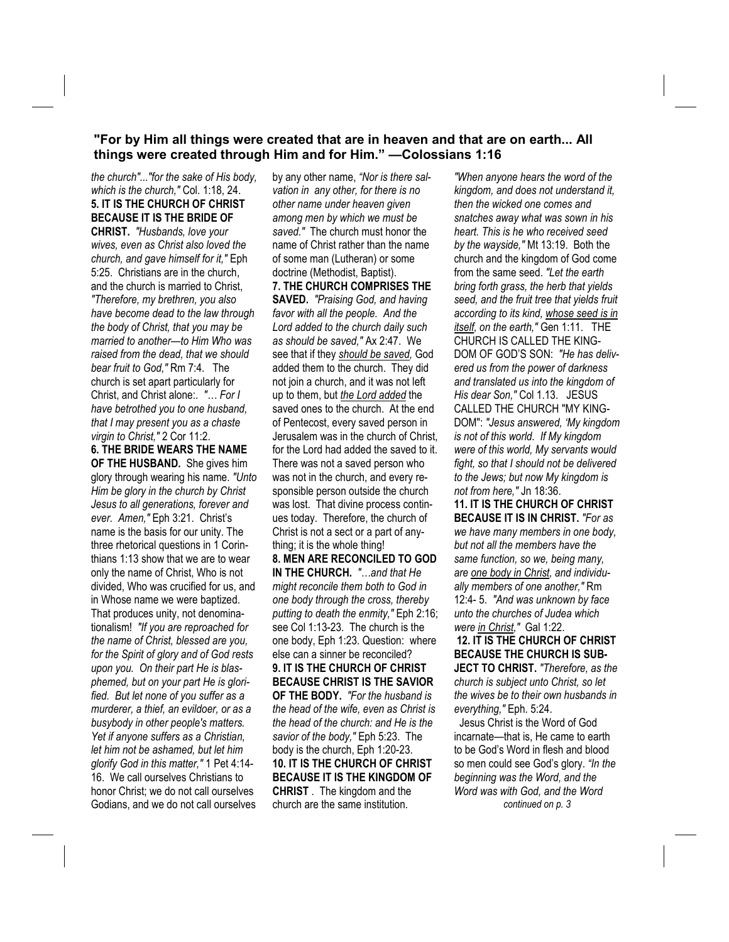**"For by Him all things were created that are in heaven and that are on earth... All things were created through Him and for Him." —Colossians 1:16** 

*the church"..."for the sake of His body, which is the church,"* Col. 1:18, 24. **5. IT IS THE CHURCH OF CHRIST BECAUSE IT IS THE BRIDE OF CHRIST.** *"Husbands, love your wives, even as Christ also loved the church, and gave himself for it,"* Eph 5:25. Christians are in the church, and the church is married to Christ, *"Therefore, my brethren, you also have become dead to the law through the body of Christ, that you may be married to another—to Him Who was raised from the dead, that we should bear fruit to God,"* Rm 7:4. The church is set apart particularly for Christ, and Christ alone:. *"… For I have betrothed you to one husband, that I may present you as a chaste virgin to Christ,"* 2 Cor 11:2.

**6. THE BRIDE WEARS THE NAME OF THE HUSBAND.** She gives him glory through wearing his name. *"Unto Him be glory in the church by Christ Jesus to all generations, forever and ever. Amen,"* Eph 3:21. Christ's name is the basis for our unity. The three rhetorical questions in 1 Corinthians 1:13 show that we are to wear only the name of Christ, Who is not divided, Who was crucified for us, and in Whose name we were baptized. That produces unity, not denominationalism! *"If you are reproached for the name of Christ, blessed are you, for the Spirit of glory and of God rests upon you. On their part He is blasphemed, but on your part He is glorified. But let none of you suffer as a murderer, a thief, an evildoer, or as a busybody in other people's matters. Yet if anyone suffers as a Christian, let him not be ashamed, but let him glorify God in this matter,"* 1 Pet 4:14- 16. We call ourselves Christians to honor Christ; we do not call ourselves Godians, and we do not call ourselves by any other name, *"Nor is there salvation in any other, for there is no other name under heaven given among men by which we must be saved."* The church must honor the name of Christ rather than the name of some man (Lutheran) or some doctrine (Methodist, Baptist). **7. THE CHURCH COMPRISES THE SAVED.** *"Praising God, and having favor with all the people. And the Lord added to the church daily such as should be saved,"* Ax 2:47. We see that if they *should be saved,* God added them to the church. They did not join a church, and it was not left up to them, but *the Lord added* the saved ones to the church. At the end of Pentecost, every saved person in Jerusalem was in the church of Christ, for the Lord had added the saved to it. There was not a saved person who was not in the church, and every responsible person outside the church was lost. That divine process continues today. Therefore, the church of Christ is not a sect or a part of anything; it is the whole thing! **8. MEN ARE RECONCILED TO GOD IN THE CHURCH.** *"…and that He might reconcile them both to God in one body through the cross, thereby putting to death the enmity,"* Eph 2:16; see Col 1:13-23. The church is the one body, Eph 1:23. Question: where else can a sinner be reconciled? **9. IT IS THE CHURCH OF CHRIST BECAUSE CHRIST IS THE SAVIOR OF THE BODY.** *"For the husband is the head of the wife, even as Christ is the head of the church: and He is the savior of the body,"* Eph 5:23. The body is the church, Eph 1:20-23. **10. IT IS THE CHURCH OF CHRIST BECAUSE IT IS THE KINGDOM OF CHRIST** . The kingdom and the church are the same institution.

*"When anyone hears the word of the kingdom, and does not understand it, then the wicked one comes and snatches away what was sown in his heart. This is he who received seed by the wayside,"* Mt 13:19. Both the church and the kingdom of God come from the same seed. *"Let the earth bring forth grass, the herb that yields seed, and the fruit tree that yields fruit according to its kind, whose seed is in itself, on the earth,"* Gen 1:11. THE CHURCH IS CALLED THE KING-DOM OF GOD'S SON: *"He has delivered us from the power of darkness and translated us into the kingdom of His dear Son,"* Col 1.13. JESUS CALLED THE CHURCH "MY KING-DOM": *"Jesus answered, 'My kingdom is not of this world. If My kingdom were of this world, My servants would fight, so that I should not be delivered to the Jews; but now My kingdom is not from here,"* Jn 18:36.

**11. IT IS THE CHURCH OF CHRIST BECAUSE IT IS IN CHRIST.** *"For as we have many members in one body, but not all the members have the same function, so we, being many, are one body in Christ, and individually members of one another,"* Rm 12:4- 5. *"And was unknown by face unto the churches of Judea which were in Christ,"* Gal 1:22. **12. IT IS THE CHURCH OF CHRIST BECAUSE THE CHURCH IS SUB-JECT TO CHRIST.** *"Therefore, as the church is subject unto Christ, so let the wives be to their own husbands in everything,"* Eph. 5:24. Jesus Christ is the Word of God incarnate—that is, He came to earth

to be God's Word in flesh and blood so men could see God's glory. *"In the beginning was the Word, and the Word was with God, and the Word continued on p. 3*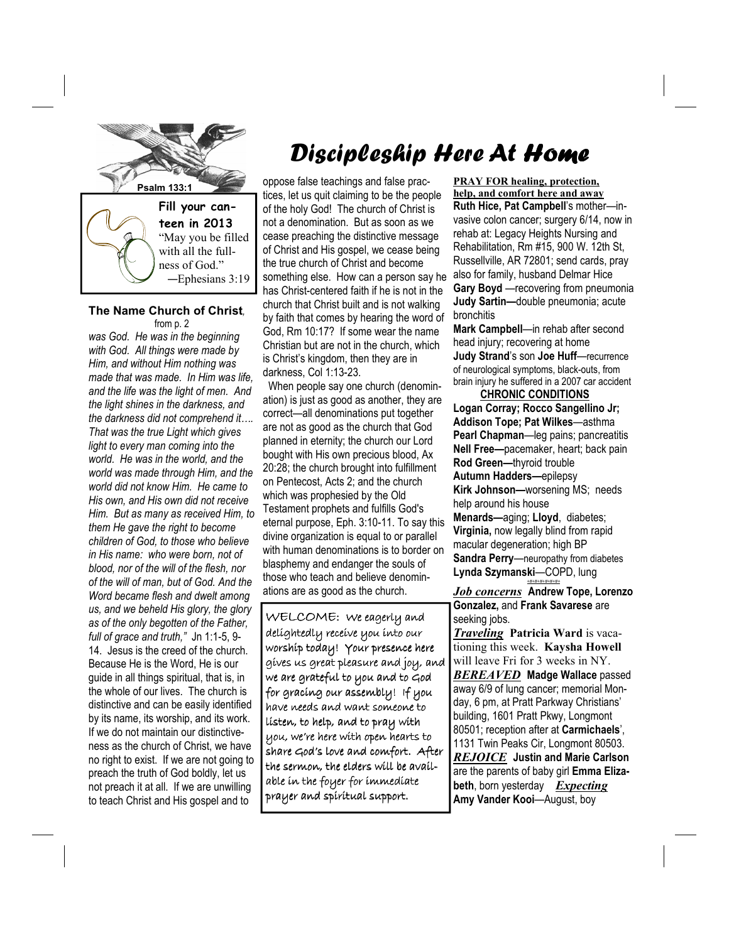

### **The Name Church of Christ***,*  from p. 2

—Ephesians 3:19

*was God. He was in the beginning with God. All things were made by Him, and without Him nothing was made that was made. In Him was life, and the life was the light of men. And the light shines in the darkness, and the darkness did not comprehend it…. That was the true Light which gives light to every man coming into the world. He was in the world, and the world was made through Him, and the world did not know Him. He came to His own, and His own did not receive Him. But as many as received Him, to them He gave the right to become children of God, to those who believe in His name: who were born, not of blood, nor of the will of the flesh, nor of the will of man, but of God. And the Word became flesh and dwelt among us, and we beheld His glory, the glory as of the only begotten of the Father, full of grace and truth,"* Jn 1:1-5, 9- 14. Jesus is the creed of the church. Because He is the Word, He is our guide in all things spiritual, that is, in the whole of our lives. The church is distinctive and can be easily identified by its name, its worship, and its work. If we do not maintain our distinctiveness as the church of Christ, we have no right to exist. If we are not going to preach the truth of God boldly, let us not preach it at all. If we are unwilling to teach Christ and His gospel and to

# Discipleship Here At Home

**Psalm 133:1 oppose false teachings and false prac**tices, let us quit claiming to be the people of the holy God! The church of Christ is not a denomination. But as soon as we cease preaching the distinctive message of Christ and His gospel, we cease being the true church of Christ and become something else. How can a person say he has Christ-centered faith if he is not in the church that Christ built and is not walking by faith that comes by hearing the word of God, Rm 10:17? If some wear the name Christian but are not in the church, which is Christ's kingdom, then they are in darkness, Col 1:13-23.

> When people say one church (denomination) is just as good as another, they are correct—all denominations put together are not as good as the church that God planned in eternity; the church our Lord bought with His own precious blood, Ax 20:28; the church brought into fulfillment on Pentecost, Acts 2; and the church which was prophesied by the Old Testament prophets and fulfills God's eternal purpose, Eph. 3:10-11. To say this divine organization is equal to or parallel with human denominations is to border on blasphemy and endanger the souls of those who teach and believe denominations are as good as the church.

> WELCOME: We eagerly and delightedly receive you into our worship today! Your presence here gives us great pleasure and joy, and we are grateful to you and to God for gracing our assembly! If you have needs and want someone to listen, to help, and to pray with you, we're here with open hearts to share God's love and comfort. After the sermon, the elders will be available in the foyer for immediate prayer and spiritual support.

**PRAY FOR healing, protection, help, and comfort here and away Ruth Hice, Pat Campbell**'s mother—invasive colon cancer; surgery 6/14, now in rehab at: Legacy Heights Nursing and Rehabilitation, Rm #15, 900 W. 12th St, Russellville, AR 72801; send cards, pray also for family, husband Delmar Hice **Gary Boyd** —recovering from pneumonia **Judy Sartin—**double pneumonia; acute bronchitis

**Mark Campbell**—in rehab after second head injury; recovering at home **Judy Strand**'s son **Joe Huff**—recurrence of neurological symptoms, black-outs, from brain injury he suffered in a 2007 car accident

 **CHRONIC CONDITIONS Logan Corray; Rocco Sangellino Jr; Addison Tope; Pat Wilkes**—asthma **Pearl Chapman**—leg pains; pancreatitis **Nell Free—**pacemaker, heart; back pain **Rod Green—**thyroid trouble **Autumn Hadders—**epilepsy **Kirk Johnson—**worsening MS; needs help around his house **Menards—**aging; **Lloyd**, diabetes; **Virginia,** now legally blind from rapid macular degeneration; high BP **Sandra Perry**—neuropathy from diabetes **Lynda Szymanski**—COPD, lung *+#+#+#+#+#+#+*

*Job concerns* **Andrew Tope, Lorenzo Gonzalez,** and **Frank Savarese** are seeking jobs.

*Traveling* **Patricia Ward** is vacationing this week. **Kaysha Howell** will leave Fri for 3 weeks in NY. *BEREAVED* **Madge Wallace** passed away 6/9 of lung cancer; memorial Monday, 6 pm, at Pratt Parkway Christians' building, 1601 Pratt Pkwy, Longmont 80501; reception after at **Carmichaels**', 1131 Twin Peaks Cir, Longmont 80503. *REJOICE* **Justin and Marie Carlson** are the parents of baby girl **Emma Elizabeth**, born yesterday *Expecting*  **Amy Vander Kooi**—August, boy